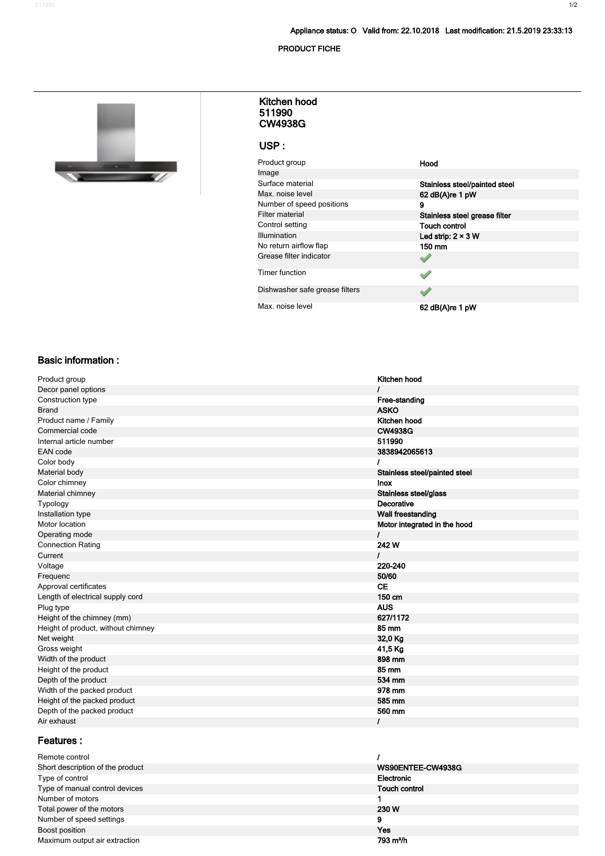#### **PRODUCT FICHE**



#### **511990 CW4938G Kitchen hood**

### **USP :**

| Product group                  | Hood                          |
|--------------------------------|-------------------------------|
| Image                          |                               |
| Surface material               | Stainless steel/painted steel |
| Max. noise level               | 62 dB(A)re 1 pW               |
| Number of speed positions      | 9                             |
| <b>Filter material</b>         | Stainless steel grease filter |
| Control setting                | <b>Touch control</b>          |
| <b>Illumination</b>            | Led strip: $2 \times 3$ W     |
| No return airflow flap         | 150 mm                        |
| Grease filter indicator        |                               |
| Timer function                 |                               |
| Dishwasher safe grease filters |                               |
| Max, noise level               | 62 dB(A)re 1 pW               |

#### **Basic information :**

| Product group                      | Kitchen hood                  |
|------------------------------------|-------------------------------|
| Decor panel options                |                               |
| Construction type                  | Free-standing                 |
| <b>Brand</b>                       | <b>ASKO</b>                   |
| Product name / Family              | Kitchen hood                  |
| Commercial code                    | <b>CW4938G</b>                |
| Internal article number            | 511990                        |
| <b>EAN</b> code                    | 3838942065613                 |
| Color body                         | I                             |
| Material body                      | Stainless steel/painted steel |
| Color chimney                      | <b>Inox</b>                   |
| Material chimney                   | Stainless steel/glass         |
| Typology                           | Decorative                    |
| Installation type                  | Wall freestanding             |
| Motor location                     | Motor integrated in the hood  |
| Operating mode                     | L                             |
| <b>Connection Rating</b>           | 242 W                         |
| Current                            | $\prime$                      |
| Voltage                            | 220-240                       |
| Frequenc                           | 50/60                         |
| Approval certificates              | <b>CE</b>                     |
| Length of electrical supply cord   | 150 cm                        |
| Plug type                          | <b>AUS</b>                    |
| Height of the chimney (mm)         | 627/1172                      |
| Height of product, without chimney | 85 mm                         |
| Net weight                         | 32,0 Kg                       |
| Gross weight                       | 41,5 Kg                       |
| Width of the product               | 898 mm                        |
| Height of the product              | 85 mm                         |
| Depth of the product               | 534 mm                        |
| Width of the packed product        | 978 mm                        |
| Height of the packed product       | 585 mm                        |
| Depth of the packed product        | 560 mm                        |
| Air exhaust                        | T                             |
|                                    |                               |

## **Features :**

| WS90ENTEE-CW4938G     |
|-----------------------|
| Electronic            |
| <b>Touch control</b>  |
|                       |
| 230 W                 |
|                       |
| Yes                   |
| 793 m <sup>3</sup> /h |
|                       |